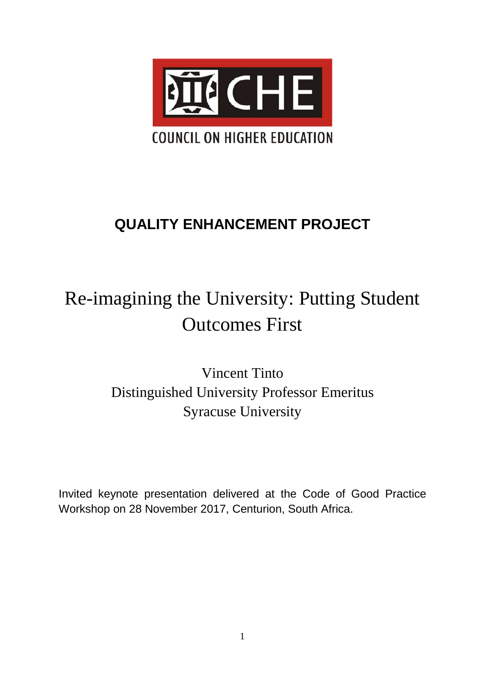

# **QUALITY ENHANCEMENT PROJECT**

# Re-imagining the University: Putting Student Outcomes First

Vincent Tinto Distinguished University Professor Emeritus Syracuse University

Invited keynote presentation delivered at the Code of Good Practice Workshop on 28 November 2017, Centurion, South Africa.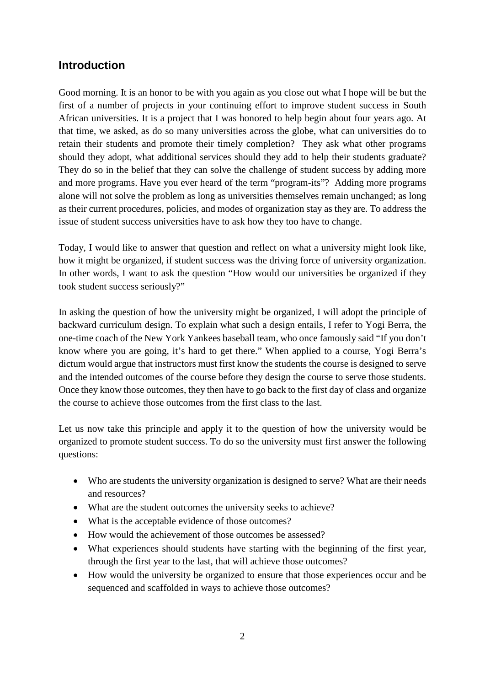# **Introduction**

Good morning. It is an honor to be with you again as you close out what I hope will be but the first of a number of projects in your continuing effort to improve student success in South African universities. It is a project that I was honored to help begin about four years ago. At that time, we asked, as do so many universities across the globe, what can universities do to retain their students and promote their timely completion? They ask what other programs should they adopt, what additional services should they add to help their students graduate? They do so in the belief that they can solve the challenge of student success by adding more and more programs. Have you ever heard of the term "program-its"? Adding more programs alone will not solve the problem as long as universities themselves remain unchanged; as long as their current procedures, policies, and modes of organization stay as they are. To address the issue of student success universities have to ask how they too have to change.

Today, I would like to answer that question and reflect on what a university might look like, how it might be organized, if student success was the driving force of university organization. In other words, I want to ask the question "How would our universities be organized if they took student success seriously?"

In asking the question of how the university might be organized, I will adopt the principle of backward curriculum design. To explain what such a design entails, I refer to Yogi Berra, the one-time coach of the New York Yankees baseball team, who once famously said "If you don't know where you are going, it's hard to get there." When applied to a course, Yogi Berra's dictum would argue that instructors must first know the students the course is designed to serve and the intended outcomes of the course before they design the course to serve those students. Once they know those outcomes, they then have to go back to the first day of class and organize the course to achieve those outcomes from the first class to the last.

Let us now take this principle and apply it to the question of how the university would be organized to promote student success. To do so the university must first answer the following questions:

- Who are students the university organization is designed to serve? What are their needs and resources?
- What are the student outcomes the university seeks to achieve?
- What is the acceptable evidence of those outcomes?
- How would the achievement of those outcomes be assessed?
- What experiences should students have starting with the beginning of the first year, through the first year to the last, that will achieve those outcomes?
- How would the university be organized to ensure that those experiences occur and be sequenced and scaffolded in ways to achieve those outcomes?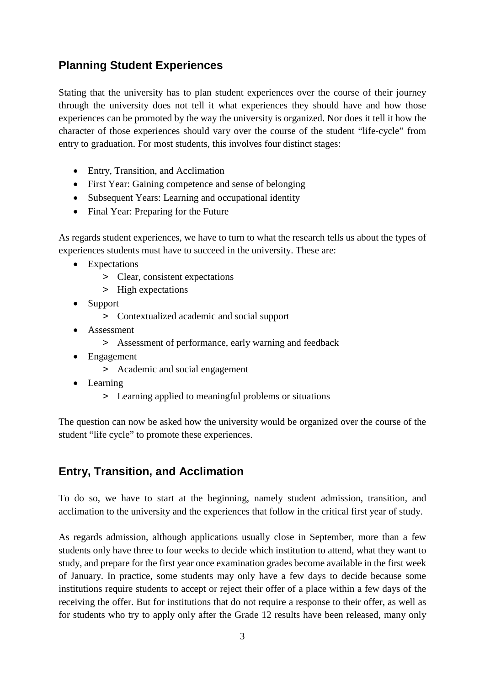# **Planning Student Experiences**

Stating that the university has to plan student experiences over the course of their journey through the university does not tell it what experiences they should have and how those experiences can be promoted by the way the university is organized. Nor does it tell it how the character of those experiences should vary over the course of the student "life-cycle" from entry to graduation. For most students, this involves four distinct stages:

- Entry, Transition, and Acclimation
- First Year: Gaining competence and sense of belonging
- Subsequent Years: Learning and occupational identity
- Final Year: Preparing for the Future

As regards student experiences, we have to turn to what the research tells us about the types of experiences students must have to succeed in the university. These are:

- Expectations
	- > Clear, consistent expectations
	- > High expectations
- Support
	- > Contextualized academic and social support
- Assessment
	- > Assessment of performance, early warning and feedback
- Engagement
	- > Academic and social engagement
- Learning
	- > Learning applied to meaningful problems or situations

The question can now be asked how the university would be organized over the course of the student "life cycle" to promote these experiences.

# **Entry, Transition, and Acclimation**

To do so, we have to start at the beginning, namely student admission, transition, and acclimation to the university and the experiences that follow in the critical first year of study.

As regards admission, although applications usually close in September, more than a few students only have three to four weeks to decide which institution to attend, what they want to study, and prepare for the first year once examination grades become available in the first week of January. In practice, some students may only have a few days to decide because some institutions require students to accept or reject their offer of a place within a few days of the receiving the offer. But for institutions that do not require a response to their offer, as well as for students who try to apply only after the Grade 12 results have been released, many only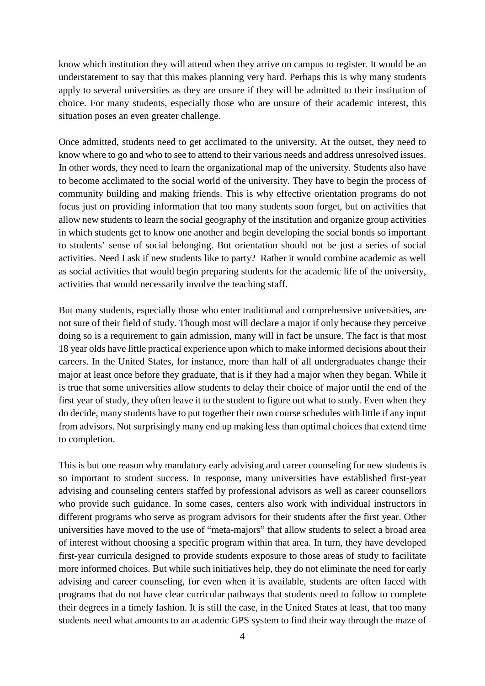know which institution they will attend when they arrive on campus to register. It would be an understatement to say that this makes planning very hard. Perhaps this is why many students apply to several universities as they are unsure if they will be admitted to their institution of choice. For many students, especially those who are unsure of their academic interest, this situation poses an even greater challenge*.*

Once admitted, students need to get acclimated to the university. At the outset, they need to know where to go and who to see to attend to their various needs and address unresolved issues. In other words, they need to learn the organizational map of the university. Students also have to become acclimated to the social world of the university. They have to begin the process of community building and making friends. This is why effective orientation programs do not focus just on providing information that too many students soon forget, but on activities that allow new students to learn the social geography of the institution and organize group activities in which students get to know one another and begin developing the social bonds so important to students' sense of social belonging. But orientation should not be just a series of social activities. Need I ask if new students like to party? Rather it would combine academic as well as social activities that would begin preparing students for the academic life of the university, activities that would necessarily involve the teaching staff.

But many students, especially those who enter traditional and comprehensive universities, are not sure of their field of study. Though most will declare a major if only because they perceive doing so is a requirement to gain admission, many will in fact be unsure. The fact is that most 18 year olds have little practical experience upon which to make informed decisions about their careers. In the United States, for instance, more than half of all undergraduates change their major at least once before they graduate, that is if they had a major when they began. While it is true that some universities allow students to delay their choice of major until the end of the first year of study, they often leave it to the student to figure out what to study. Even when they do decide, many students have to put together their own course schedules with little if any input from advisors. Not surprisingly many end up making less than optimal choices that extend time to completion.

This is but one reason why mandatory early advising and career counseling for new students is so important to student success. In response, many universities have established first-year advising and counseling centers staffed by professional advisors as well as career counsellors who provide such guidance. In some cases, centers also work with individual instructors in different programs who serve as program advisors for their students after the first year. Other universities have moved to the use of "meta-majors" that allow students to select a broad area of interest without choosing a specific program within that area. In turn, they have developed first-year curricula designed to provide students exposure to those areas of study to facilitate more informed choices. But while such initiatives help, they do not eliminate the need for early advising and career counseling, for even when it is available, students are often faced with programs that do not have clear curricular pathways that students need to follow to complete their degrees in a timely fashion. It is still the case, in the United States at least, that too many students need what amounts to an academic GPS system to find their way through the maze of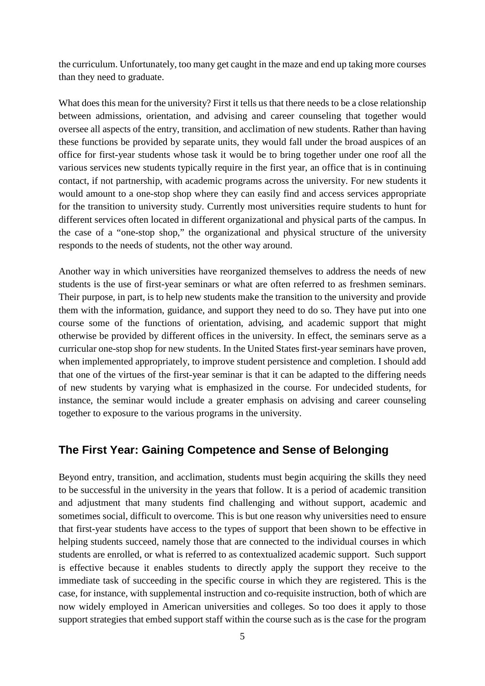the curriculum. Unfortunately, too many get caught in the maze and end up taking more courses than they need to graduate.

What does this mean for the university? First it tells us that there needs to be a close relationship between admissions, orientation, and advising and career counseling that together would oversee all aspects of the entry, transition, and acclimation of new students. Rather than having these functions be provided by separate units, they would fall under the broad auspices of an office for first-year students whose task it would be to bring together under one roof all the various services new students typically require in the first year, an office that is in continuing contact, if not partnership, with academic programs across the university. For new students it would amount to a one-stop shop where they can easily find and access services appropriate for the transition to university study. Currently most universities require students to hunt for different services often located in different organizational and physical parts of the campus. In the case of a "one-stop shop," the organizational and physical structure of the university responds to the needs of students, not the other way around.

Another way in which universities have reorganized themselves to address the needs of new students is the use of first-year seminars or what are often referred to as freshmen seminars. Their purpose, in part, is to help new students make the transition to the university and provide them with the information, guidance, and support they need to do so. They have put into one course some of the functions of orientation, advising, and academic support that might otherwise be provided by different offices in the university. In effect, the seminars serve as a curricular one-stop shop for new students. In the United States first-year seminars have proven, when implemented appropriately, to improve student persistence and completion. I should add that one of the virtues of the first-year seminar is that it can be adapted to the differing needs of new students by varying what is emphasized in the course. For undecided students, for instance, the seminar would include a greater emphasis on advising and career counseling together to exposure to the various programs in the university.

### **The First Year: Gaining Competence and Sense of Belonging**

Beyond entry, transition, and acclimation, students must begin acquiring the skills they need to be successful in the university in the years that follow. It is a period of academic transition and adjustment that many students find challenging and without support, academic and sometimes social, difficult to overcome*.* This is but one reason why universities need to ensure that first-year students have access to the types of support that been shown to be effective in helping students succeed, namely those that are connected to the individual courses in which students are enrolled, or what is referred to as contextualized academic support. Such support is effective because it enables students to directly apply the support they receive to the immediate task of succeeding in the specific course in which they are registered. This is the case, for instance, with supplemental instruction and co-requisite instruction, both of which are now widely employed in American universities and colleges. So too does it apply to those support strategies that embed support staff within the course such as is the case for the program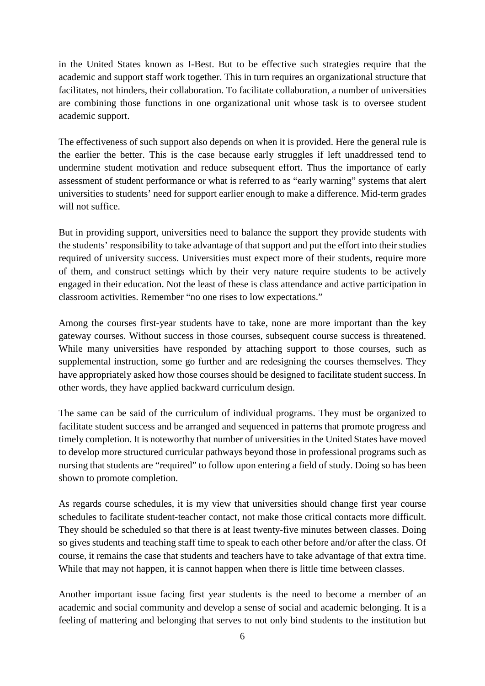in the United States known as I-Best. But to be effective such strategies require that the academic and support staff work together. This in turn requires an organizational structure that facilitates, not hinders, their collaboration. To facilitate collaboration, a number of universities are combining those functions in one organizational unit whose task is to oversee student academic support.

The effectiveness of such support also depends on when it is provided. Here the general rule is the earlier the better. This is the case because early struggles if left unaddressed tend to undermine student motivation and reduce subsequent effort. Thus the importance of early assessment of student performance or what is referred to as "early warning" systems that alert universities to students' need for support earlier enough to make a difference. Mid-term grades will not suffice.

But in providing support, universities need to balance the support they provide students with the students' responsibility to take advantage of that support and put the effort into their studies required of university success. Universities must expect more of their students, require more of them, and construct settings which by their very nature require students to be actively engaged in their education. Not the least of these is class attendance and active participation in classroom activities. Remember "no one rises to low expectations."

Among the courses first-year students have to take, none are more important than the key gateway courses. Without success in those courses, subsequent course success is threatened. While many universities have responded by attaching support to those courses, such as supplemental instruction, some go further and are redesigning the courses themselves. They have appropriately asked how those courses should be designed to facilitate student success. In other words, they have applied backward curriculum design.

The same can be said of the curriculum of individual programs. They must be organized to facilitate student success and be arranged and sequenced in patterns that promote progress and timely completion. It is noteworthy that number of universities in the United States have moved to develop more structured curricular pathways beyond those in professional programs such as nursing that students are "required" to follow upon entering a field of study. Doing so has been shown to promote completion.

As regards course schedules, it is my view that universities should change first year course schedules to facilitate student-teacher contact, not make those critical contacts more difficult. They should be scheduled so that there is at least twenty-five minutes between classes. Doing so gives students and teaching staff time to speak to each other before and/or after the class. Of course, it remains the case that students and teachers have to take advantage of that extra time. While that may not happen, it is cannot happen when there is little time between classes.

Another important issue facing first year students is the need to become a member of an academic and social community and develop a sense of social and academic belonging. It is a feeling of mattering and belonging that serves to not only bind students to the institution but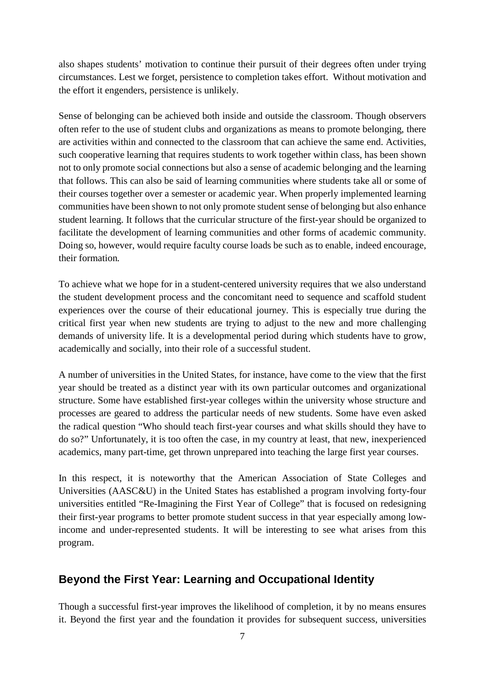also shapes students' motivation to continue their pursuit of their degrees often under trying circumstances. Lest we forget, persistence to completion takes effort. Without motivation and the effort it engenders, persistence is unlikely.

Sense of belonging can be achieved both inside and outside the classroom. Though observers often refer to the use of student clubs and organizations as means to promote belonging, there are activities within and connected to the classroom that can achieve the same end. Activities, such cooperative learning that requires students to work together within class, has been shown not to only promote social connections but also a sense of academic belonging and the learning that follows. This can also be said of learning communities where students take all or some of their courses together over a semester or academic year. When properly implemented learning communities have been shown to not only promote student sense of belonging but also enhance student learning. It follows that the curricular structure of the first-year should be organized to facilitate the development of learning communities and other forms of academic community. Doing so, however, would require faculty course loads be such as to enable, indeed encourage, their formation*.* 

To achieve what we hope for in a student-centered university requires that we also understand the student development process and the concomitant need to sequence and scaffold student experiences over the course of their educational journey. This is especially true during the critical first year when new students are trying to adjust to the new and more challenging demands of university life. It is a developmental period during which students have to grow, academically and socially, into their role of a successful student.

A number of universities in the United States, for instance, have come to the view that the first year should be treated as a distinct year with its own particular outcomes and organizational structure. Some have established first-year colleges within the university whose structure and processes are geared to address the particular needs of new students. Some have even asked the radical question "Who should teach first-year courses and what skills should they have to do so?" Unfortunately, it is too often the case, in my country at least, that new, inexperienced academics, many part-time, get thrown unprepared into teaching the large first year courses.

In this respect, it is noteworthy that the American Association of State Colleges and Universities (AASC&U) in the United States has established a program involving forty-four universities entitled "Re-Imagining the First Year of College" that is focused on redesigning their first-year programs to better promote student success in that year especially among lowincome and under-represented students. It will be interesting to see what arises from this program.

# **Beyond the First Year: Learning and Occupational Identity**

Though a successful first-year improves the likelihood of completion, it by no means ensures it. Beyond the first year and the foundation it provides for subsequent success, universities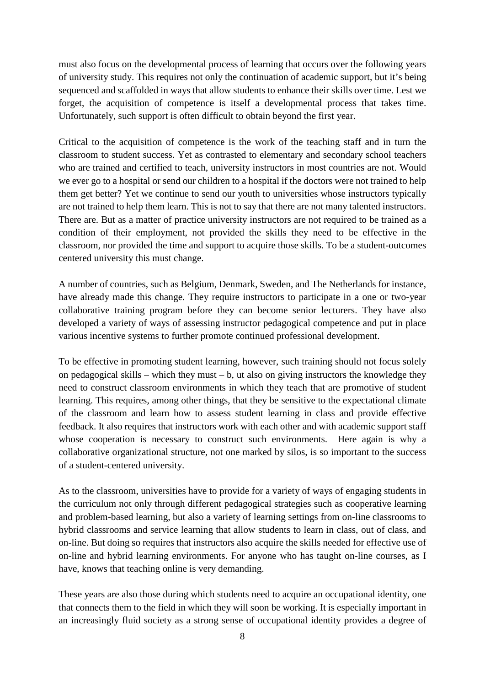must also focus on the developmental process of learning that occurs over the following years of university study. This requires not only the continuation of academic support, but it's being sequenced and scaffolded in ways that allow students to enhance their skills over time. Lest we forget, the acquisition of competence is itself a developmental process that takes time. Unfortunately, such support is often difficult to obtain beyond the first year.

Critical to the acquisition of competence is the work of the teaching staff and in turn the classroom to student success. Yet as contrasted to elementary and secondary school teachers who are trained and certified to teach, university instructors in most countries are not. Would we ever go to a hospital or send our children to a hospital if the doctors were not trained to help them get better? Yet we continue to send our youth to universities whose instructors typically are not trained to help them learn. This is not to say that there are not many talented instructors. There are. But as a matter of practice university instructors are not required to be trained as a condition of their employment, not provided the skills they need to be effective in the classroom, nor provided the time and support to acquire those skills. To be a student-outcomes centered university this must change.

A number of countries, such as Belgium, Denmark, Sweden, and The Netherlands for instance, have already made this change. They require instructors to participate in a one or two-year collaborative training program before they can become senior lecturers. They have also developed a variety of ways of assessing instructor pedagogical competence and put in place various incentive systems to further promote continued professional development.

To be effective in promoting student learning, however, such training should not focus solely on pedagogical skills – which they must – b, ut also on giving instructors the knowledge they need to construct classroom environments in which they teach that are promotive of student learning. This requires, among other things, that they be sensitive to the expectational climate of the classroom and learn how to assess student learning in class and provide effective feedback. It also requires that instructors work with each other and with academic support staff whose cooperation is necessary to construct such environments. Here again is why a collaborative organizational structure, not one marked by silos, is so important to the success of a student-centered university.

As to the classroom, universities have to provide for a variety of ways of engaging students in the curriculum not only through different pedagogical strategies such as cooperative learning and problem-based learning, but also a variety of learning settings from on-line classrooms to hybrid classrooms and service learning that allow students to learn in class, out of class, and on-line. But doing so requires that instructors also acquire the skills needed for effective use of on-line and hybrid learning environments. For anyone who has taught on-line courses, as I have, knows that teaching online is very demanding.

These years are also those during which students need to acquire an occupational identity, one that connects them to the field in which they will soon be working. It is especially important in an increasingly fluid society as a strong sense of occupational identity provides a degree of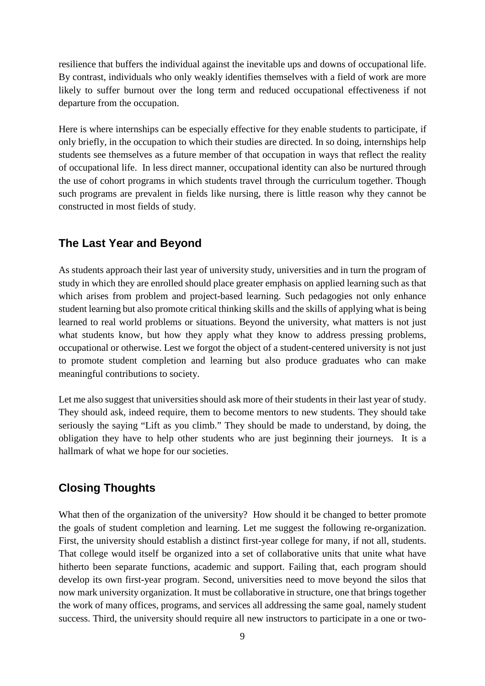resilience that buffers the individual against the inevitable ups and downs of occupational life. By contrast, individuals who only weakly identifies themselves with a field of work are more likely to suffer burnout over the long term and reduced occupational effectiveness if not departure from the occupation.

Here is where internships can be especially effective for they enable students to participate, if only briefly, in the occupation to which their studies are directed. In so doing, internships help students see themselves as a future member of that occupation in ways that reflect the reality of occupational life. In less direct manner, occupational identity can also be nurtured through the use of cohort programs in which students travel through the curriculum together. Though such programs are prevalent in fields like nursing, there is little reason why they cannot be constructed in most fields of study.

### **The Last Year and Beyond**

As students approach their last year of university study, universities and in turn the program of study in which they are enrolled should place greater emphasis on applied learning such as that which arises from problem and project-based learning. Such pedagogies not only enhance student learning but also promote critical thinking skills and the skills of applying what is being learned to real world problems or situations. Beyond the university, what matters is not just what students know, but how they apply what they know to address pressing problems, occupational or otherwise. Lest we forgot the object of a student-centered university is not just to promote student completion and learning but also produce graduates who can make meaningful contributions to society.

Let me also suggest that universities should ask more of their students in their last year of study. They should ask, indeed require, them to become mentors to new students. They should take seriously the saying "Lift as you climb." They should be made to understand, by doing, the obligation they have to help other students who are just beginning their journeys. It is a hallmark of what we hope for our societies.

### **Closing Thoughts**

What then of the organization of the university? How should it be changed to better promote the goals of student completion and learning. Let me suggest the following re-organization. First, the university should establish a distinct first-year college for many, if not all, students. That college would itself be organized into a set of collaborative units that unite what have hitherto been separate functions, academic and support. Failing that, each program should develop its own first-year program. Second, universities need to move beyond the silos that now mark university organization. It must be collaborative in structure, one that brings together the work of many offices, programs, and services all addressing the same goal, namely student success. Third, the university should require all new instructors to participate in a one or two